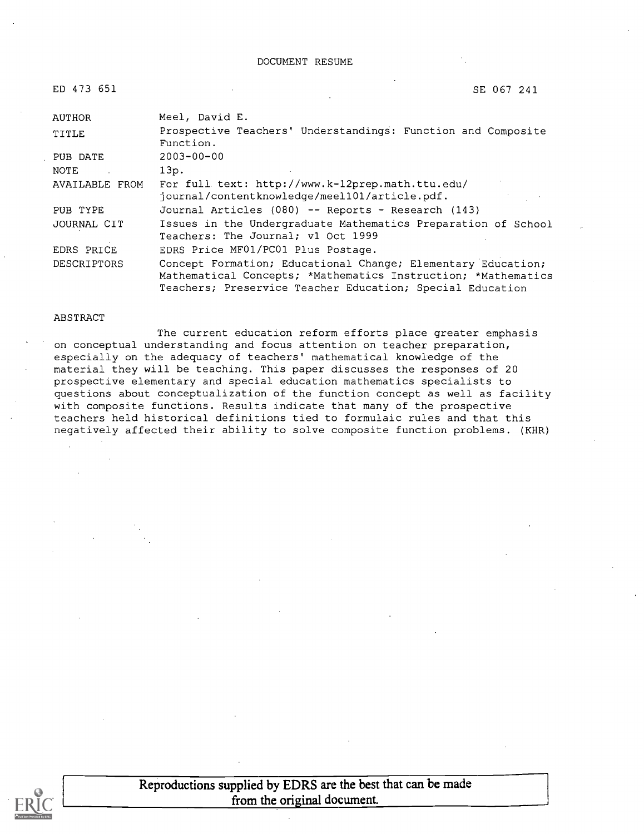| ED 473 651     | SE 067 241                                                                                                                                                                                 |
|----------------|--------------------------------------------------------------------------------------------------------------------------------------------------------------------------------------------|
| AUTHOR         | Meel, David E.                                                                                                                                                                             |
| TITLE          | Prospective Teachers' Understandings: Function and Composite<br>Function.                                                                                                                  |
| PUB DATE       | $2003 - 00 - 00$                                                                                                                                                                           |
| NOTE           | 13p.                                                                                                                                                                                       |
| AVAILABLE FROM | For full text: http://www.k-12prep.math.ttu.edu/<br>journal/contentknowledge/meel101/article.pdf.                                                                                          |
| PUB TYPE       | Journal Articles (080) -- Reports - Research (143)                                                                                                                                         |
| JOURNAL CIT    | Issues in the Undergraduate Mathematics Preparation of School<br>Teachers: The Journal; v1 Oct 1999                                                                                        |
| EDRS PRICE     | EDRS Price MF01/PC01 Plus Postage.                                                                                                                                                         |
| DESCRIPTORS    | Concept Formation; Educational Change; Elementary Education;<br>Mathematical Concepts; *Mathematics Instruction; *Mathematics<br>Teachers; Preservice Teacher Education; Special Education |

#### ABSTRACT

The current education reform efforts place greater emphasis on conceptual understanding and focus attention on teacher preparation, especially on the adequacy of teachers' mathematical knowledge of the material they will be teaching. This paper discusses the responses of 20 prospective elementary and special education mathematics specialists to questions about conceptualization of the function concept as well as facility with composite functions. Results indicate that many of the prospective teachers held historical definitions tied to formulaic rules and that this negatively affected their ability to solve composite function problems. (KHR)



Reproductions supplied by EDRS are the best that can be made from the original document.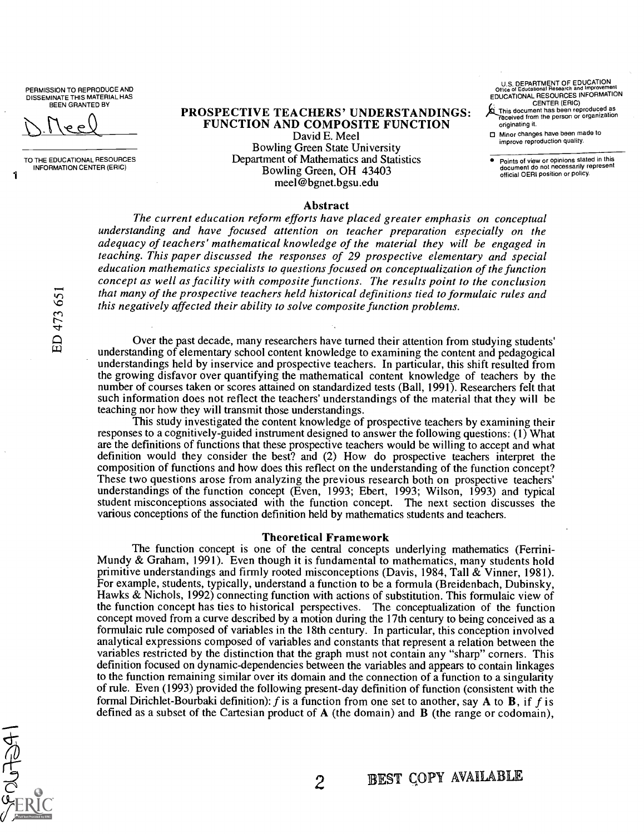PERMISSION TO REPRODUCE AND DISSEMINATE THIS MATERIAL HAS BEEN GRANTED BY

ED 473 65

1

TO THE EDUCATIONAL RESOURCES INFORMATION CENTER (ERIC)

PROSPECTIVE TEACHERS' UNDERSTANDINGS: FUNCTION AND COMPOSITE FUNCTION

David E. Meel Bowling Green State University Department of Mathematics and Statistics Bowling Green, OH 43403 meel@bgnet.bgsu.edu

U.S. DEPARTMENT OF EDUCATION Office of Educational Research and Improvement EDUCATIONAL RESOURCES INFORMATION

CENTER (ERIC) This document has been reproduced as ceived from the person or organization originating it.

Minor changes have been made to minute reproduction quality.

Points of view or opinions stated in this document do not necessarily represent official OERI position or policy.

#### Abstract

The current education reform efforts have placed greater emphasis on conceptual understanding and have focused attention on teacher preparation especially on the adequacy of teachers' mathematical knowledge of the material they will be engaged in teaching. This paper discussed the responses of 29 prospective elementary and special education mathematics specialists to questions focused on conceptualization of the function concept as well as facility with composite functions. The results point to the conclusion that many of the prospective teachers held historical definitions tied to formulaic rules and this negatively affected their ability to solve composite function problems.

Over the past decade, many researchers have turned their attention from studying students' understanding of elementary school content knowledge to examining the content and pedagogical understandings held by inservice and prospective teachers. In particular, this shift resulted from the growing disfavor over quantifying the mathematical content knowledge of teachers by the number of courses taken or scores attained on standardized tests (Ball, 1991). Researchers felt that such information does not reflect the teachers' understandings of the material that they will be teaching nor how they will transmit those understandings.

This study investigated the content knowledge of prospective teachers by examining their responses to a cognitively-guided instrument designed to answer the following questions: (1) What are the definitions of functions that these prospective teachers would be willing to accept and what definition would they consider the best? and (2) How do prospective teachers interpret the composition of functions and how does this reflect on the understanding of the function concept? These two questions arose from analyzing the previous research both on prospective teachers' understandings of the function concept (Even, 1993; Ebert, 1993; Wilson, 1993) and typical student misconceptions associated with the function concept. The next section discusses the various conceptions of the function definition held by mathematics students and teachers.

## Theoretical Framework

The function concept is one of the central concepts underlying mathematics (Ferrini-Mundy & Graham, 1991). Even though it is fundamental to mathematics, many students hold primitive understandings and firmly rooted misconceptions (Davis, 1984, Tall & Vinner, 1981). For example, students, typically, understand a function to be a formula (Breidenbach, Dubinsky, Hawks & Nichols, 1992) connecting function with actions of substitution. This formulaic view of the function concept has ties to historical perspectives. The conceptualization of the function concept moved from a curve described by a motion during the 17th century to being conceived as a formulaic rule composed of variables in the 18th century. In particular, this conception involved analytical expressions composed of variables and constants that represent a relation between the variables restricted by the distinction that the graph must not contain any "sharp" corners. This definition focused on dynamic-dependencies between the variables and appears to contain linkages to the function remaining similar over its domain and the connection of a function to a singularity of rule. Even (1993) provided the following present-day definition of function (consistent with the formal Dirichlet-Bourbaki definition): f is a function from one set to another, say A to B, if f is defined as a subset of the Cartesian product of A (the domain) and B (the range or codomain),

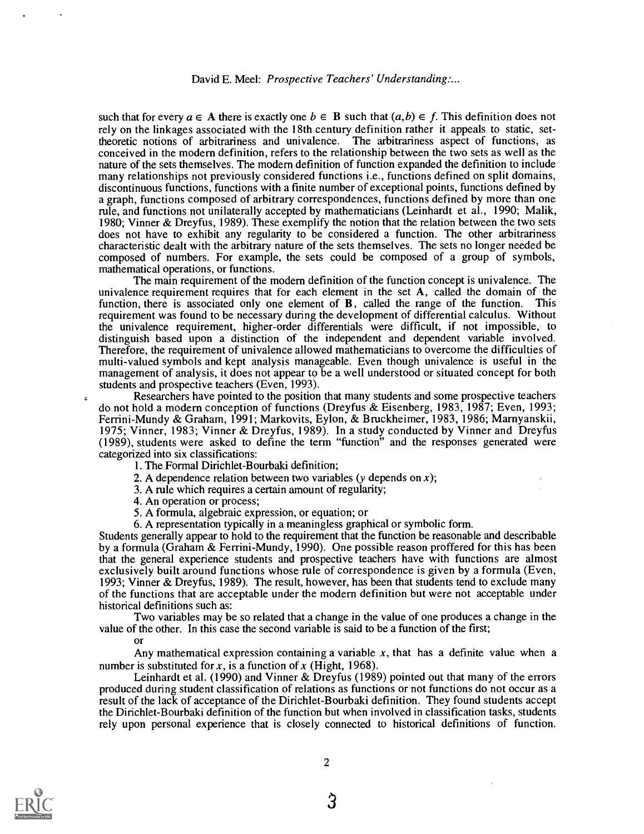such that for every  $a \in A$  there is exactly one  $b \in B$  such that  $(a,b) \in f$ . This definition does not rely on the linkages associated with the 18th century definition rather it appeals to static, settheoretic notions of arbitrariness and univalence. The arbitrariness aspect of functions, as conceived in the modern definition, refers to the relationship between the two sets as well as the nature of the sets themselves. The modern definition of function expanded the definition to include many relationships not previously considered functions i.e., functions defined on split domains, discontinuous functions, functions with a finite number of exceptional points, functions defined by a graph, functions composed of arbitrary correspondences, functions defined by more than one rule, and functions not unilaterally accepted by mathematicians (Leinhardt et al., 1990; Malik, 1980; Vinner & Dreyfus, 1989). These exemplify the notion that the relation between the two sets does not have to exhibit any regularity to be considered a function. The other arbitrariness characteristic dealt with the arbitrary nature of the sets themselves. The sets no longer needed be composed of numbers. For example, the sets could be composed of a group of symbols, mathematical operations, or functions.

The main requirement of the modern definition of the function concept is univalence. The univalence requirement requires that for each element in the set  $A$ , called the domain of the function, there is associated only one element of B, called the range of the function. This requirement was found to be necessary during the development of differential calculus. Without the univalence requirement, higher-order differentials were difficult, if not impossible, to distinguish based upon a distinction of the independent and dependent variable involved. Therefore, the requirement of univalence allowed mathematicians to overcome the difficulties of multi-valued symbols and kept analysis manageable. Even though univalence is useful in the management of analysis, it does not appear to be a well understood or situated concept for both students and prospective teachers (Even, 1993).

Researchers have pointed to the position that many students and some prospective teachers do not hold a modern conception of functions (Dreyfus & Eisenberg, 1983, 1987; Even, 1993; Ferrini-Mundy & Graham, 1991; Markovits, Ey lon, & Bruckheimer, 1983, 1986; Marnyanskii, 1975; Vinner, 1983; Vinner & Dreyfus, 1989). In a study conducted by Vinner and Dreyfus (1989), students were asked to define the term "function" and the responses generated were categorized into six classifications:

- 1. The Formal Dirichlet-Bourbaki definition;
- 2. A dependence relation between two variables (y depends on x);
- 3. A rule which requires a certain amount of regularity;
- 4. An operation or process;
- 5. A formula, algebraic expression, or equation; or
- 6. A representation typically in a meaningless graphical or symbolic form.

Students generally appear to hold to the requirement that the function be reasonable and describable by a formula (Graham & Ferrini-Mundy, 1990). One possible reason proffered for this has been that the general experience students and prospective teachers have with functions are almost exclusively built around functions whose rule of correspondence is given by a formula (Even, 1993; Vinner & Dreyfus, 1989). The result, however, has been that students tend to exclude many of the functions that are acceptable under the modern definition but were not acceptable under historical definitions such as:

Two variables may be so related that a change in the value of one produces a change in the value of the other. In this case the second variable is said to be a function of the first;

## or

Any mathematical expression containing a variable  $x$ , that has a definite value when a number is substituted for x, is a function of x (Hight, 1968).

Leinhardt et al. (1990) and Vinner & Dreyfus (1989) pointed out that many of the errors produced during student classification of relations as functions or not functions do not occur as a result of the lack of acceptance of the Dirichlet-Bourbaki definition. They found students accept the Dirichlet- Bourbaki definition of the function but when involved in classification tasks, students rely upon personal experience that is closely connected to historical definitions of function.



3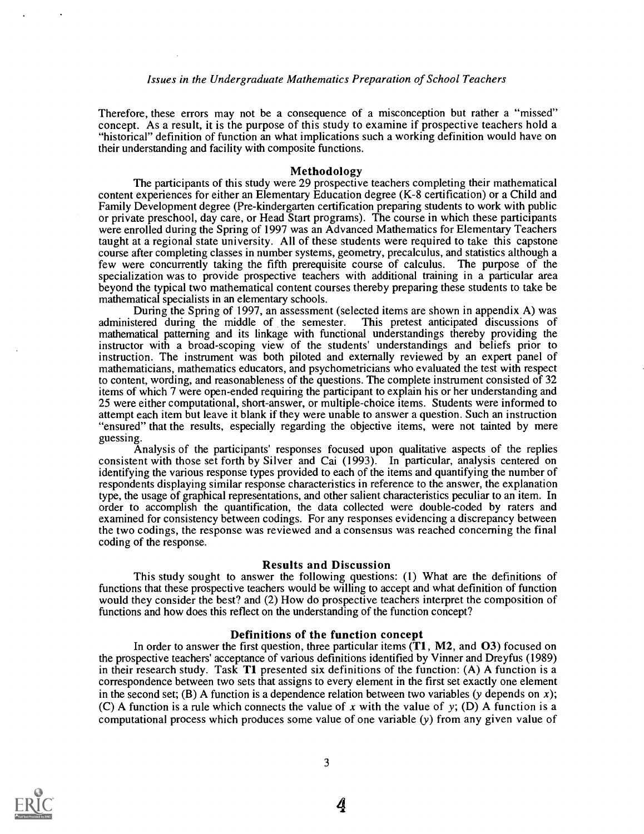Therefore, these errors may not be a consequence of a misconception but rather a "missed" concept. As a result, it is the purpose of this study to examine if prospective teachers hold a "historical" definition of function an what implications such a working definition would have on their understanding and facility with composite functions.

#### Methodology

The participants of this study were 29 prospective teachers completing their mathematical content experiences for either an Elementary Education degree (K-8 certification) or a Child and Family Development degree (Pre-kindergarten certification preparing students to work with public or private preschool, day care, or Head Start programs). The course in which these participants were enrolled during the Spring of 1997 was an Advanced Mathematics for Elementary Teachers taught at a regional state university. All of these students were required to take this capstone course after completing classes in number systems, geometry, precalculus, and statistics although a few were concurrently taking the fifth prerequisite course of calculus. The purpose of the specialization was to provide prospective teachers with additional training in a particular area beyond the typical two mathematical content courses thereby preparing these students to take be mathematical specialists in an elementary schools.

During the Spring of 1997, an assessment (selected items are shown in appendix A) was administered during the middle of the semester. This pretest anticipated discussions of mathematical patterning and its linkage with functional understandings thereby providing the instructor with a broad-scoping view of the students' understandings and beliefs prior to instruction. The instrument was both piloted and externally reviewed by an expert panel of mathematicians, mathematics educators, and psychometricians who evaluated the test with respect to content, wording, and reasonableness of the questions. The complete instrument consisted of 32 items of which 7 were open-ended requiring the participant to explain his or her understanding and 25 were either computational, short-answer, or multiple-choice items. Students were informed to attempt each item but leave it blank if they were unable to answer a question. Such an instruction "ensured" that the results, especially regarding the objective items, were not tainted by mere guessing.

Analysis of the participants' responses focused upon qualitative aspects of the replies consistent with those set forth by Silver and Cai (1993). In particular, analysis centered on identifying the various response types provided to each of the items and quantifying the number of respondents displaying similar response characteristics in reference to the answer, the explanation type, the usage of graphical representations, and other salient characteristics peculiar to an item. In order to accomplish the quantification, the data collected were double-coded by raters and examined for consistency between codings. For any responses evidencing a discrepancy between the two codings, the response was reviewed and a consensus was reached concerning the final coding of the response.

#### Results and Discussion

This study sought to answer the following questions: (1) What are the definitions of functions that these prospective teachers would be willing to accept and what definition of function would they consider the best? and (2) How do prospective teachers interpret the composition of functions and how does this reflect on the understanding of the function concept?

#### Definitions of the function concept

In order to answer the first question, three particular items  $(1, M2,$  and  $O3)$  focused on the prospective teachers' acceptance of various definitions identified by Vinner and Dreyfus (1989) in their research study. Task Tl presented six definitions of the function: (A) A function is a correspondence between two sets that assigns to every element in the first set exactly one element in the second set; (B) A function is a dependence relation between two variables (y depends on x); (C) A function is a rule which connects the value of x with the value of y; (D) A function is a computational process which produces some value of one variable (y) from any given value of



4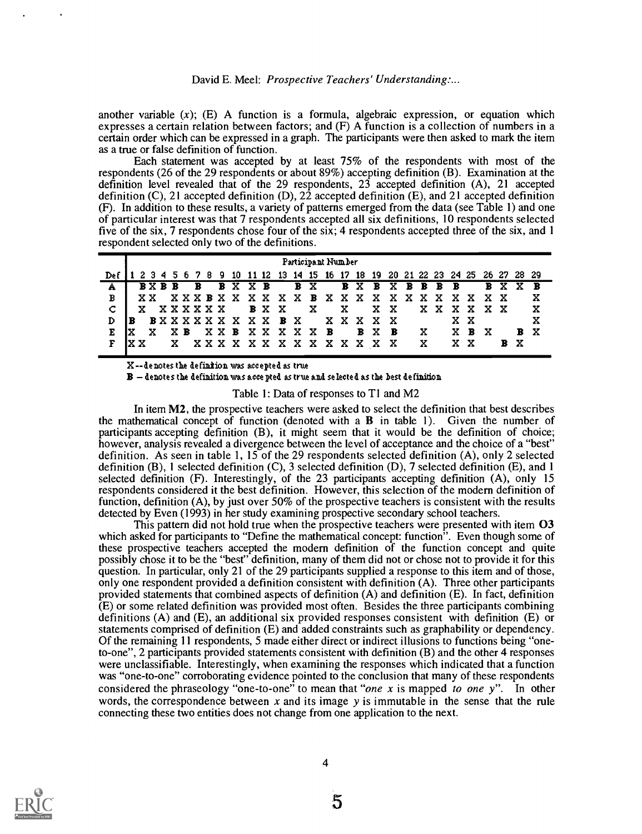another variable  $(x)$ ; (E) A function is a formula, algebraic expression, or equation which expresses a certain relation between factors; and (F) A function is a collection of numbers in a certain order which can be expressed in a graph. The participants were then asked to mark the item as a true or false definition of function.

Each statement was accepted by at least 75% of the respondents with most of the respondents (26 of the 29 respondents or about 89%) accepting definition (B). Examination at the definition level revealed that of the 29 respondents, 23 accepted definition (A), 21 accepted definition (C), 21 accepted definition (D), 22 accepted definition (E), and 21 accepted definition (F). In addition to these results, a variety of patterns emerged from the data (see Table 1) and one of particular interest was that 7 respondents accepted all six definitions, 10 respondents selected five of the six, 7 respondents chose four of the six; 4 respondents accepted three of the six, and 1 respondent selected only two of the definitions.

| 10 11 12 13 14 15 16 17 18 19 20 21 22 23 24 25 26 27 28 29<br>789<br>Del<br>234<br><b>BXBXBBBB</b><br><b>BXBB</b><br>B B X X B<br>B X<br>B X X<br>$\mathbf{B}$<br>Α<br><b>XXXBXXXXXXBXXXXXXXXX</b><br>x<br>B<br>XXXX<br>xх<br>C<br>x<br>X.<br>XX<br>x<br><b>XXXXXX</b><br>B X X<br>XX.<br>XXXX<br>x<br>XXXXX<br><b>BXXXXXXXXXXBX</b><br>x<br>x x<br>D | Participant Number |  |  |  |  |  |  |  |  |  |  |  |  |  |  |  |   |  |       |  |  |
|--------------------------------------------------------------------------------------------------------------------------------------------------------------------------------------------------------------------------------------------------------------------------------------------------------------------------------------------------------|--------------------|--|--|--|--|--|--|--|--|--|--|--|--|--|--|--|---|--|-------|--|--|
|                                                                                                                                                                                                                                                                                                                                                        |                    |  |  |  |  |  |  |  |  |  |  |  |  |  |  |  |   |  |       |  |  |
|                                                                                                                                                                                                                                                                                                                                                        |                    |  |  |  |  |  |  |  |  |  |  |  |  |  |  |  |   |  |       |  |  |
|                                                                                                                                                                                                                                                                                                                                                        |                    |  |  |  |  |  |  |  |  |  |  |  |  |  |  |  |   |  |       |  |  |
|                                                                                                                                                                                                                                                                                                                                                        |                    |  |  |  |  |  |  |  |  |  |  |  |  |  |  |  |   |  |       |  |  |
|                                                                                                                                                                                                                                                                                                                                                        |                    |  |  |  |  |  |  |  |  |  |  |  |  |  |  |  |   |  |       |  |  |
| XXB XXXXXB<br>B X<br>XВ<br>B X B<br>X B<br>x                                                                                                                                                                                                                                                                                                           | ıx                 |  |  |  |  |  |  |  |  |  |  |  |  |  |  |  | x |  | - X - |  |  |
| x<br>B X<br>x x<br>XXX X X X X X X X X X<br>- X<br>– X –<br>x                                                                                                                                                                                                                                                                                          |                    |  |  |  |  |  |  |  |  |  |  |  |  |  |  |  |   |  |       |  |  |

X-- denotes the definition was accepted as true

 $\, {\bf B} \, - \,$  denotes the definition was accepted as true and selected as the best definition

Table 1: Data of responses to T1 and M2

In item M2, the prospective teachers were asked to select the definition that best describes the mathematical concept of function (denoted with a B in table 1). Given the number of participants accepting definition (B), it might seem that it would be the definition of choice; however, analysis revealed a divergence between the level of acceptance and the choice of a "best" definition. As seen in table 1, 15 of the 29 respondents selected definition (A), only 2 selected definition (B), 1 selected definition (C), 3 selected definition (D), 7 selected definition (E), and 1 selected definition (F). Interestingly, of the 23 participants accepting definition (A), only 15 respondents considered it the best definition. However, this selection of the modern definition of function, definition (A), by just over 50% of the prospective teachers is consistent with the results detected by Even (1993) in her study examining prospective secondary school teachers.

This pattern did not hold true when the prospective teachers were presented with item 03 which asked for participants to "Define the mathematical concept: function". Even though some of these prospective teachers accepted the modern definition of the function concept and quite possibly chose it to be the "best" definition, many of them did not or chose not to provide it for this question. In particular, only 21 of the 29 participants supplied a response to this item and of those, only one respondent provided a definition consistent with definition (A). Three other participants provided statements that combined aspects of definition (A) and definition (E). In fact, definition  $(E)$  or some related definition was provided most often. Besides the three participants combining definitions (A) and (E), an additional six provided responses consistent with definition (E) or statements comprised of definition (E) and added constraints such as graphability or dependency. Of the remaining 11 respondents, 5 made either direct or indirect illusions to functions being "oneto-one", 2 participants provided statements consistent with definition (B) and the other 4 responses were unclassifiable. Interestingly, when examining the responses which indicated that a function was "one-to-one" corroborating evidence pointed to the conclusion that many of these respondents considered the phraseology "one-to-one" to mean that "one x is mapped to one y". In other words, the correspondence between x and its image y is immutable in the sense that the rule connecting these two entities does not change from one application to the next.

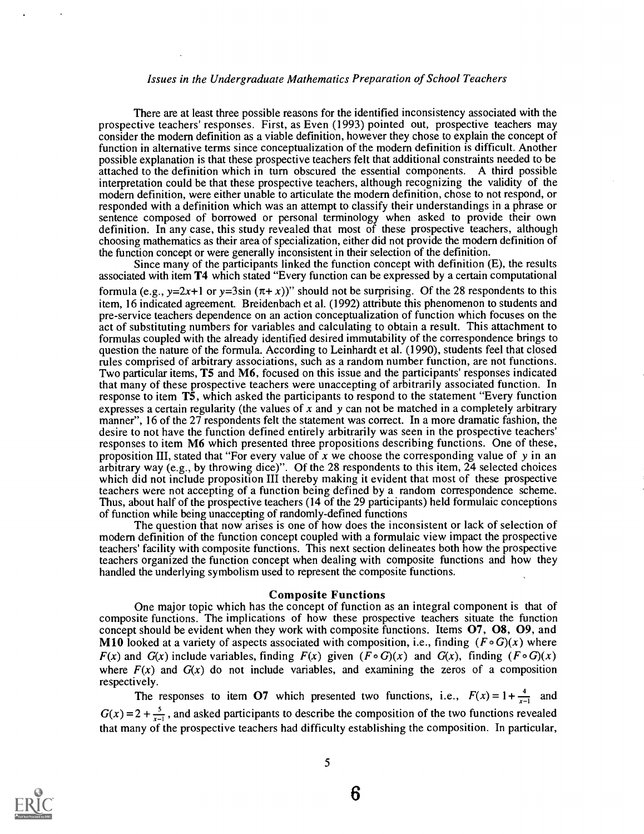## Issues in the Undergraduate Mathematics Preparation of School Teachers

There are at least three possible reasons for the identified inconsistency associated with the prospective teachers' responses. First, as Even (1993) pointed out, prospective teachers may consider the modern definition as a viable definition, however they chose to explain the concept of function in alternative terms since conceptualization of the modem definition is difficult. Another possible explanation is that these prospective teachers felt that additional constraints needed to be attached to the definition which in turn obscured the essential components. A third possible interpretation could be that these prospective teachers, although recognizing the validity of the modem definition, were either unable to articulate the modem definition, chose to not respond, or responded with a definition which was an attempt to classify their understandings in a phrase or sentence composed of borrowed or personal terminology when asked to provide their own definition. In any case, this study revealed that most of these prospective teachers, although choosing mathematics as their area of specialization, either did not provide the modem definition of the function concept or were generally inconsistent in their selection of the definition.

Since many of the participants linked the function concept with definition (E), the results associated with item T4 which stated "Every function can be expressed by a certain computational formula (e.g.,  $y=2x+1$  or  $y=3\sin(\pi+x)$ )" should not be surprising. Of the 28 respondents to this item, 16 indicated agreement. Breidenbach et al. (1992) attribute this phenomenon to students and pre-service teachers dependence on an action conceptualization of function which focuses on the act of substituting numbers for variables and calculating to obtain a result. This attachment to formulas coupled with the already identified desired immutability of the correspondence brings to question the nature of the formula. According to Leinhardt et al. (1990), students feel that closed rules comprised of arbitrary associations, such as a random number function, are not functions. Two particular items, T5 and M6, focused on this issue and the participants' responses indicated that many of these prospective teachers were unaccepting of arbitrarily associated function. In response to item T5, which asked the participants to respond to the statement "Every function expresses a certain regularity (the values of x and y can not be matched in a completely arbitrary manner", 16 of the 27 respondents felt the statement was correct. In a more dramatic fashion, the desire to not have the function defined entirely arbitrarily was seen in the prospective teachers' responses to item M6 which presented three propositions describing functions. One of these, proposition III, stated that "For every value of x we choose the corresponding value of y in an arbitrary way (e.g., by throwing dice) ". Of the 28 respondents to this item, 24 selected choices which did not include proposition III thereby making it evident that most of these prospective teachers were not accepting of a function being defined by a random correspondence scheme. Thus, about half of the prospective teachers (14 of the 29 participants) held formulaic conceptions of function while being unaccepting of randomly-defined functions

The question that now arises is one of how does the inconsistent or lack of selection of modern definition of the function concept coupled with a formulaic view impact the prospective teachers' facility with composite functions. This next section delineates both how the prospective teachers organized the function concept when dealing with composite functions and how they handled the underlying symbolism used to represent the composite functions.

#### Composite Functions

One major topic which has the concept of function as an integral component is that of composite functions. The implications of how these prospective teachers situate the function concept should be evident when they work with composite functions. Items 07, 08, 09, and M10 looked at a variety of aspects associated with composition, i.e., finding  $(F \circ G)(x)$  where  $F(x)$  and  $G(x)$  include variables, finding  $F(x)$  given  $(F \circ G)(x)$  and  $G(x)$ , finding  $(F \circ G)(x)$ where  $F(x)$  and  $G(x)$  do not include variables, and examining the zeros of a composition respectively.

The responses to item O7 which presented two functions, i.e.,  $F(x) = 1 + \frac{4}{x-1}$  and  $G(x) = 2 + \frac{5}{x-1}$ , and asked participants to describe the composition of the two functions revealed that many of the prospective teachers had difficulty establishing the composition. In particular,

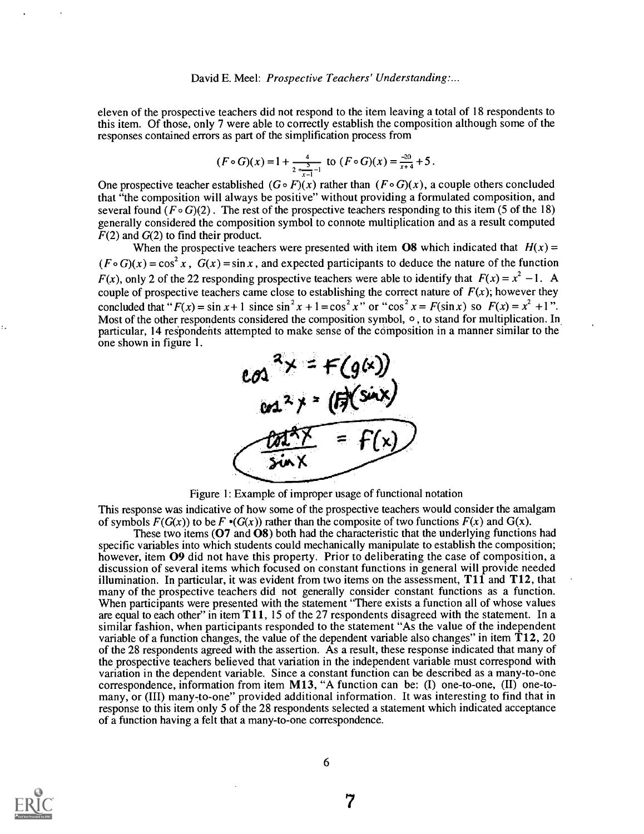eleven of the prospective teachers did not respond to the item leaving a total of 18 respondents to this item. Of those, only 7 were able to correctly establish the composition although some of the responses contained errors as part of the simplification process from

$$
(F \circ G)(x) = 1 + \frac{4}{2 + \frac{5}{x-1} - 1}
$$
 to  $(F \circ G)(x) = \frac{-20}{x+4} + 5$ .

One prospective teacher established  $(G \circ F)(x)$  rather than  $(F \circ G)(x)$ , a couple others concluded that "the composition will always be positive" without providing a formulated composition, and several found ( $F \circ G$ )(2). The rest of the prospective teachers responding to this item (5 of the 18) generally considered the composition symbol to connote multiplication and as a result computed  $F(2)$  and  $G(2)$  to find their product.

When the prospective teachers were presented with item **O8** which indicated that  $H(x)$  =  $(F \circ G)(x) = \cos^2 x$ ,  $G(x) = \sin x$ , and expected participants to deduce the nature of the function  $F(x)$ , only 2 of the 22 responding prospective teachers were able to identify that  $F(x) = x^2 - 1$ . A couple of prospective teachers came close to establishing the correct nature of  $F(x)$ ; however they concluded that " $F(x) = \sin x + 1$  since  $\sin^2 x + 1 = \cos^2 x$ " or " $\cos^2 x = F(\sin x)$  so  $F(x) = x^2 + 1$ ". Most of the other respondents considered the composition symbol,  $\circ$ , to stand for multiplication. In particular, 14 respondents attempted to make sense of the composition in a manner similar to the one shown in figure 1.



Figure 1: Example of improper usage of functional notation

This response was indicative of how some of the prospective teachers would consider the amalgam of symbols  $F(G(x))$  to be  $F \cdot (G(x))$  rather than the composite of two functions  $F(x)$  and  $G(x)$ .

These two items ( $\overline{O7}$  and  $\overline{O8}$ ) both had the characteristic that the underlying functions had specific variables into which students could mechanically manipulate to establish the composition; however, item O9 did not have this property. Prior to deliberating the case of composition, a discussion of several items which focused on constant functions in general will provide needed illumination. In particular, it was evident from two items on the assessment,  $T1\hat{1}$  and  $T12$ , that many of the prospective teachers did not generally consider constant functions as a function. When participants were presented with the statement "There exists a function all of whose values are equal to each other" in item T11, 15 of the 27 respondents disagreed with the statement. In a similar fashion, when participants responded to the statement "As the value of the independent variable of a function changes, the value of the dependent variable also changes" in item  $T12$ , 20 of the 28 respondents agreed with the assertion. As a result, these response indicated that many of the prospective teachers believed that variation in the independent variable must correspond with variation in the dependent variable. Since a constant function can be described as a many-to-one correspondence, information from item M13, "A function can be: (I) one-to-one, (II) one-tomany, or (III) many-to-one" provided additional information. It was interesting to find that in response to this item only 5 of the 28 respondents selected a statement which indicated acceptance of a function having a felt that a many-to-one correspondence.

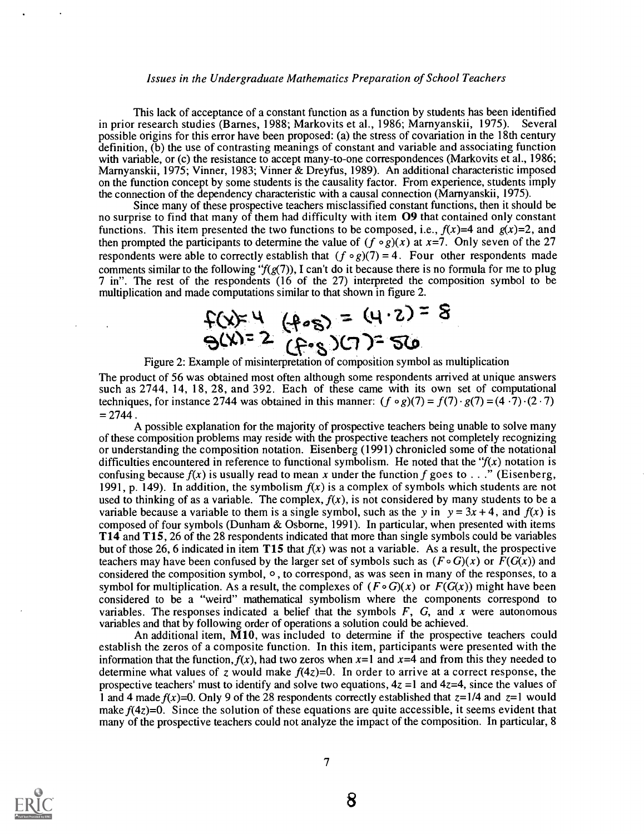## Issues in the Undergraduate Mathematics Preparation of School Teachers

This lack of acceptance of a constant function as a function by students has been identified in prior research studies (Barnes, 1988; Markovits et al., 1986; Marnyanskii, 1975). Several possible origins for this error have been proposed: (a) the stress of covariation in the 18th century definition, (b) the use of contrasting meanings of constant and variable and associating function with variable, or (c) the resistance to accept many-to-one correspondences (Markovits et al., 1986; Marnyanskii, 1975; Vinner, 1983; Vinner & Dreyfus, 1989). An additional characteristic imposed on the function concept by some students is the causality factor. From experience, students imply the connection of the dependency characteristic with a causal connection (Marnyanskii, 1975).

Since many of these prospective teachers misclassified constant functions, then it should be no surprise to find that many of them had difficulty with item **O9** that contained only constant functions. This item presented the two functions to be composed, i.e.,  $f(x)=4$  and  $g(x)=2$ , and then prompted the participants to determine the value of  $(f \circ g)(x)$  at x=7. Only seven of the 27 respondents were able to correctly establish that  $(f \circ g)(7) = 4$ . Four other respondents made comments similar to the following " $f(g(7))$ , I can't do it because there is no formula for me to plug 7 in". The rest of the respondents (16 of the 27) interpreted the composition symbol to be multiplication and made computations similar to that shown in figure 2.

$$
f(x) = 4 \quad (0.8) = (4.2) = 8
$$
  
\n
$$
f(x) = 2 \quad (0.8) = 12
$$
  
\nFigure 2: Example of misinterpretation of composition symbol as multiplication

The product of 56 was obtained most often although some respondents arrived at unique answers such as 2744, 14, 18, 28, and 392. Each of these came with its own set of computational techniques, for instance 2744 was obtained in this manner:  $(f \circ g)(7) = f(7) \cdot g(7) = (4 \cdot 7) \cdot (2 \cdot 7)$  $= 2744$ .

A possible explanation for the majority of prospective teachers being unable to solve many of these composition problems may reside with the prospective teachers not completely recognizing or understanding the composition notation. Eisenberg (1991) chronicled some of the notational difficulties encountered in reference to functional symbolism. He noted that the " $f(x)$  notation is confusing because  $f(x)$  is usually read to mean x under the function f goes to . . ." (Eisenberg, 1991, p. 149). In addition, the symbolism  $f(x)$  is a complex of symbols which students are not used to thinking of as a variable. The complex,  $f(x)$ , is not considered by many students to be a variable because a variable to them is a single symbol, such as the y in  $y = 3x + 4$ , and  $f(x)$  is composed of four symbols (Dunham & Osborne, 1991). In particular, when presented with items T14 and T15, 26 of the 28 respondents indicated that more than single symbols could be variables but of those 26, 6 indicated in item T15 that  $f(x)$  was not a variable. As a result, the prospective teachers may have been confused by the larger set of symbols such as  $(F \circ G)(x)$  or  $F(G(x))$  and considered the composition symbol, 0 , to correspond, as was seen in many of the responses, to a symbol for multiplication. As a result, the complexes of  $(F \circ G)(x)$  or  $F(G(x))$  might have been considered to be a "weird" mathematical symbolism where the components correspond to variables. The responses indicated a belief that the symbols  $F$ ,  $G$ , and  $x$  were autonomous variables and that by following order of operations a solution could be achieved.

An additional item,  $\tilde{M}10$ , was included to determine if the prospective teachers could establish the zeros of a composite function. In this item, participants were presented with the information that the function,  $f(x)$ , had two zeros when  $x=1$  and  $x=4$  and from this they needed to determine what values of z would make  $f(4z)=0$ . In order to arrive at a correct response, the prospective teachers' must to identify and solve two equations,  $4z = 1$  and  $4z = 4$ , since the values of 1 and 4 made  $f(x)=0$ . Only 9 of the 28 respondents correctly established that  $z=1/4$  and  $z=1$  would make  $f(4z)=0$ . Since the solution of these equations are quite accessible, it seems evident that many of the prospective teachers could not analyze the impact of the composition. In particular, 8

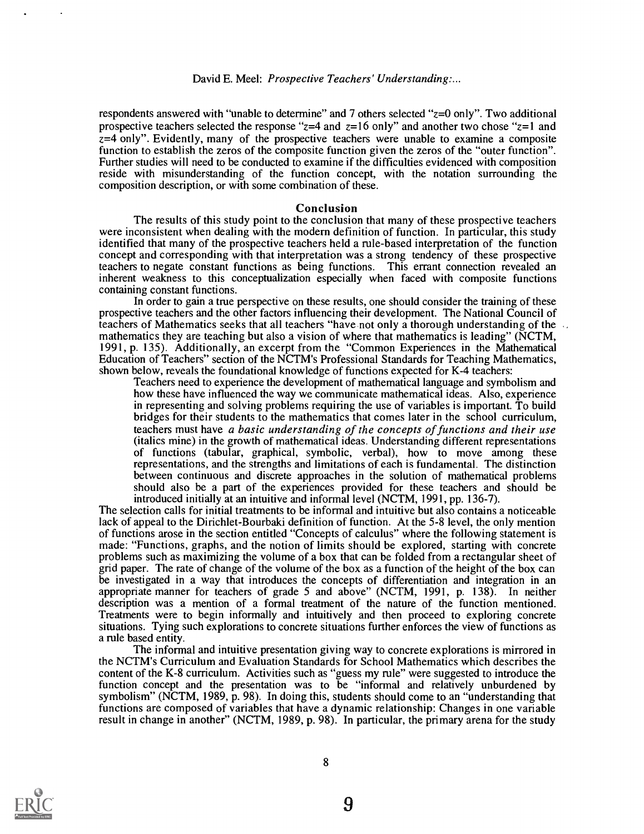respondents answered with "unable to determine" and 7 others selected "z=0 only". Two additional prospective teachers selected the response " $z=4$  and  $z=16$  only" and another two chose " $z=1$  and  $z=4$  only". Evidently, many of the prospective teachers were unable to examine a composite function to establish the zeros of the composite function given the zeros of the "outer function". Further studies will need to be conducted to examine if the difficulties evidenced with composition reside with misunderstanding of the function concept, with the notation surrounding the composition description, or with some combination of these.

#### Conclusion

The results of this study point to the conclusion that many of these prospective teachers were inconsistent when dealing with the modern definition of function. In particular, this study identified that many of the prospective teachers held a rule-based interpretation of the function concept and corresponding with that interpretation was a strong tendency of these prospective teachers to negate constant functions as being functions. This errant connection revealed an inherent weakness to this conceptualization especially when faced with composite functions containing constant functions.

In order to gain a true perspective on these results, one should consider the training of these prospective teachers and the other factors influencing their development. The National Council of teachers of Mathematics seeks that all teachers "have not only a thorough understanding of the  $\cdot$ . mathematics they are teaching but also a vision of where that mathematics is leading" (NCTM, 1991, p. 135). Additionally, an excerpt from the "Common Experiences in the Mathematical Education of Teachers" section of the NCTM's Professional Standards for Teaching Mathematics, shown below, reveals the foundational knowledge of functions expected for K-4 teachers:

Teachers need to experience the development of mathematical language and symbolism and how these have influenced the way we communicate mathematical ideas. Also, experience in representing and solving problems requiring the use of variables is important. To build bridges for their students to the mathematics that comes later in the school curriculum, teachers must have a basic understanding of the concepts of functions and their use (italics mine) in the growth of mathematical ideas. Understanding different representations of functions (tabular, graphical, symbolic, verbal), how to move among these representations, and the strengths and limitations of each is fundamental. The distinction between continuous and discrete approaches in the solution of mathematical problems should also be a part of the experiences provided for these teachers and should be introduced initially at an intuitive and informal level (NCTM, 1991, pp. 136-7).

The selection calls for initial treatments to be informal and intuitive but also contains a noticeable lack of appeal to the Dirichlet-Bourbaki definition of function. At the 5-8 level, the only mention of functions arose in the section entitled "Concepts of calculus" where the following statement is made: "Functions, graphs, and the notion of limits should be explored, starting with concrete problems such as maximizing the volume of a box that can be folded from a rectangular sheet of grid paper. The rate of change of the volume of the box as a function of the height of the box can be investigated in a way that introduces the concepts of differentiation and integration in an appropriate manner for teachers of grade 5 and above" (NCTM, 1991, p. 138). In neither description was a mention of a formal treatment of the nature of the function mentioned. Treatments were to begin informally and intuitively and then proceed to exploring concrete situations. Tying such explorations to concrete situations further enforces the view of functions as a rule based entity.

The informal and intuitive presentation giving way to concrete explorations is mirrored in the NCTM's Curriculum and Evaluation Standards for School Mathematics which describes the content of the K-8 curriculum. Activities such as "guess my rule" were suggested to introduce the function concept and the presentation was to be "informal and relatively unburdened by symbolism" (NCTM, 1989, p. 98). In doing this, students should come to an "understanding that functions are composed of variables that have a dynamic relationship: Changes in one variable result in change in another" (NCTM, 1989, p. 98). In particular, the primary arena for the study

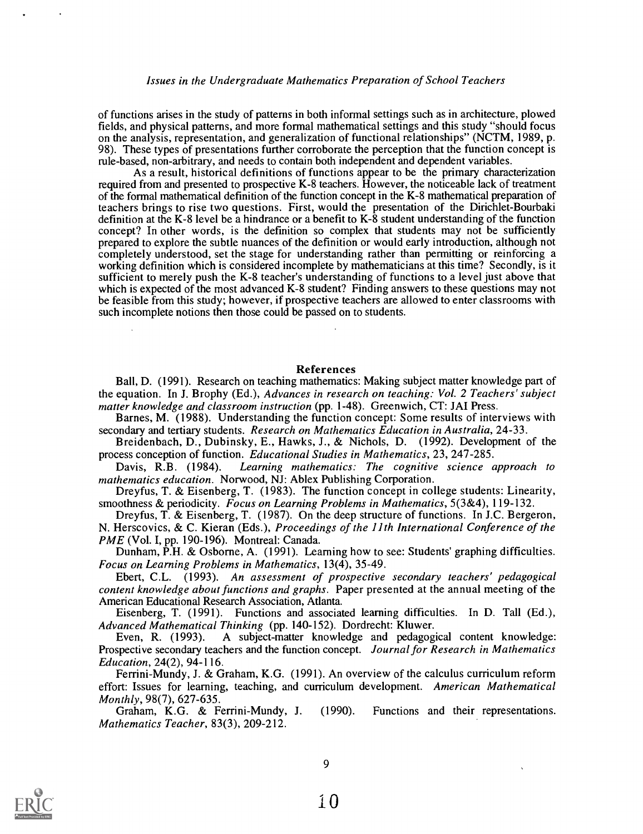## Issues in the Undergraduate Mathematics Preparation of School Teachers

of functions arises in the study of patterns in both informal settings such as in architecture, plowed fields, and physical patterns, and more formal mathematical settings and this study "should focus on the analysis, representation, and generalization of functional relationships" (NCTM, 1989, p. 98). These types of presentations further corroborate the perception that the function concept is rule-based, non-arbitrary, and needs to contain both independent and dependent variables.

As a result, historical definitions of functions appear to be the primary characterization required from and presented to prospective K-8 teachers. However, the noticeable lack of treatment of the formal mathematical definition of the function concept in the K-8 mathematical preparation of teachers brings to rise two questions. First, would the presentation of the Dirichlet- Bourbaki definition at the K-8 level be a hindrance or a benefit to K-8 student understanding of the function concept? In other words, is the definition so complex that students may not be sufficiently prepared to explore the subtle nuances of the definition or would early introduction, although not completely understood, set the stage for understanding rather than permitting or reinforcing a working definition which is considered incomplete by mathematicians at this time? Secondly, is it sufficient to merely push the K-8 teacher's understanding of functions to a level just above that which is expected of the most advanced K-8 student? Finding answers to these questions may not be feasible from this study; however, if prospective teachers are allowed to enter classrooms with such incomplete notions then those could be passed on to students.

## References

Ball, D. (1991). Research on teaching mathematics: Making subject matter knowledge part of the equation. In J. Brophy (Ed.), Advances in research on teaching: Vol. 2 Teachers' subject matter knowledge and classroom instruction (pp. 1-48). Greenwich, CT: JAI Press.

Barnes, M. (1988). Understanding the function concept: Some results of interviews with secondary and tertiary students. Research on Mathematics Education in Australia, 24-33.

Breidenbach, D., Dubinsky, E., Hawks, J., & Nichols, D. (1992). Development of the process conception of function. Educational Studies in Mathematics, 23, 247-285.

Davis, R.B. (1984). Learning mathematics: The cognitive science approach to mathematics education. Norwood, NJ: Ablex Publishing Corporation.

Dreyfus, T. & Eisenberg, T. (1983). The function concept in college students: Linearity, smoothness & periodicity. Focus on Learning Problems in Mathematics,  $5(3\&4)$ , 119-132.

Dreyfus, T. & Eisenberg, T. (1987). On the deep structure of functions. In J.C. Bergeron, N. Herscovics, & C. Kieran (Eds.), Proceedings of the 11th International Conference of the PME (Vol. I, pp. 190-196). Montreal: Canada.

Dunham, P.H. & Osborne, A. (1991). Learning how to see: Students' graphing difficulties. Focus on Learning Problems in Mathematics, 13(4), 35-49.

Ebert, C.L. (1993). An assessment of prospective secondary teachers' pedagogical content knowledge about functions and graphs. Paper presented at the annual meeting of the American Educational Research Association, Atlanta.

Eisenberg, T. (1991). Functions and associated learning difficulties. In D. Tall (Ed.), Advanced Mathematical Thinking (pp. 140-152). Dordrecht: Kluwer.

Even, R. (1993). A subject-matter knowledge and pedagogical content knowledge: Prospective secondary teachers and the function concept. Journal for Research in Mathematics Education, 24(2), 94-116.

Ferrini-Mundy, J. & Graham, K.G. (1991). An overview of the calculus curriculum reform effort: Issues for learning, teaching, and curriculum development. American Mathematical Monthly, 98(7), 627-635.

Graham, K.G. & Ferrini-Mundy, J. (1990). Functions and their representations. Mathematics Teacher, 83(3), 209-212.

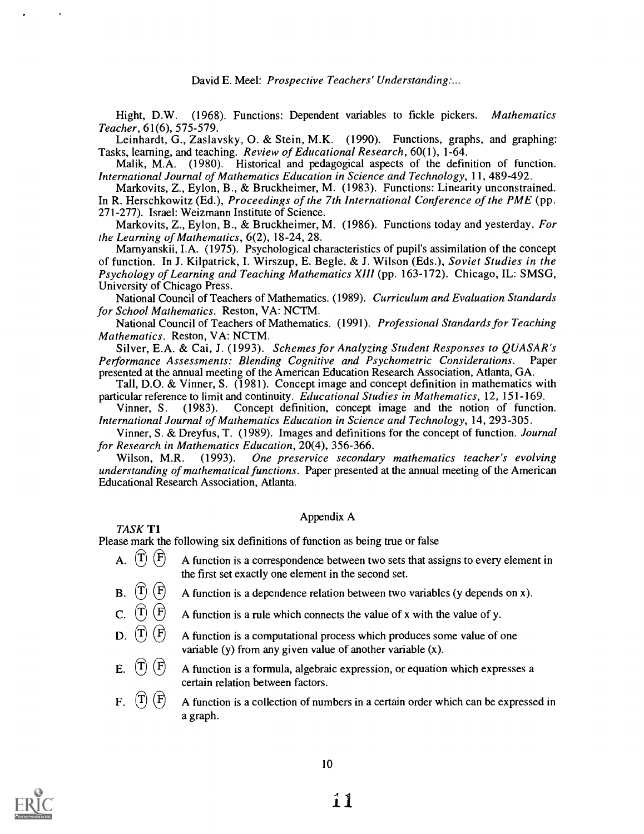Hight, D.W. (1968). Functions: Dependent variables to fickle pickers. Mathematics Teacher, 61(6), 575-579.

Leinhardt, G., Zaslavsky, O. & Stein, M.K. (1990). Functions, graphs, and graphing: Tasks, learning, and teaching. Review of Educational Research, 60(1), 1-64.

Malik, M.A. (1980). Historical and pedagogical aspects of the definition of function. International Journal of Mathematics Education in Science and Technology, 11, 489-492.

Markovits, Z., Eylon, B., & Bruckheimer, M. (1983). Functions: Linearity unconstrained. In R. Herschkowitz (Ed.), *Proceedings of the 7th International Conference of the PME* (pp. 271-277). Israel: Weizmann Institute of Science.

Markovits, Z., Eylon, B., & Bruckheimer, M. (1986). Functions today and yesterday. For the Learning of Mathematics, 6(2), 18-24, 28.

Marnyanskii, I.A. (1975). Psychological characteristics of pupil's assimilation of the concept of function. In J. Kilpatrick, I. Wirszup, E. Begle, & J. Wilson (Eds.), Soviet Studies in the Psychology of Learning and Teaching Mathematics XIII (pp. 163-172). Chicago, IL: SMSG, University of Chicago Press.

National Council of Teachers of Mathematics. (1989). Curriculum and Evaluation Standards for School Mathematics. Reston, VA: NCTM.

National Council of Teachers of Mathematics. (1991). Professional Standards for Teaching Mathematics. Reston, VA: NCTM.

Silver, E.A. & Cai, J. (1993). Schemes for Analyzing Student Responses to QUASAR's Performance Assessments: Blending Cognitive and Psychometric Considerations. Paper presented at the annual meeting of the American Education Research Association, Atlanta, GA.

Tall, D.O. & Vinner, S. (1981). Concept image and concept definition in mathematics with particular reference to limit and continuity. *Educational Studies in Mathematics*, 12, 151-169.<br>Vinner, S. (1983). Concept definition, concept image and the notion of function

Concept definition, concept image and the notion of function. International Journal of Mathematics Education in Science and Technology, 14, 293-305.

Vinner, S. & Dreyfus, T. (1989). Images and definitions for the concept of function. Journal for Research in Mathematics Education, 20(4), 356-366.<br>Wilson, M.R. (1993). One preservice seconda

Wilson, M.R. (1993). One preservice secondary mathematics teacher's evolving understanding of mathematical functions. Paper presented at the annual meeting of the American Educational Research Association, Atlanta.

Appendix A

Please mark the following six definitions of function as being true or false

TASK Ti

- A.  $\overline{T}$   $\overline{F}$  A function is a correspondence between two sets that assigns to every element in the first set exactly one element in the second set.<br>
B.  $\overline{T}$   $\overline{F}$  A function is a dependence relation between two varial
- A function is a dependence relation between two variables (y depends on x).
- C.  $\left(\overline{T}\right)\left(\overline{F}\right)$  A function is a rule which connects the value of x with the value of y.
- D.  $\left(\overline{T}\right)\left(\overline{F}\right)$  A function is a computational process which produces some value of one variable (y) from any given value of another variable (x).
- E.  $(\hat{T}) (\hat{F})$  A function is a formula, algebraic expression, or equation which expresses a certain relation between factors.
- F.  $\left(\overline{T}\right)\left(\overline{F}\right)$  A function is a collection of numbers in a certain order which can be expressed in a graph.

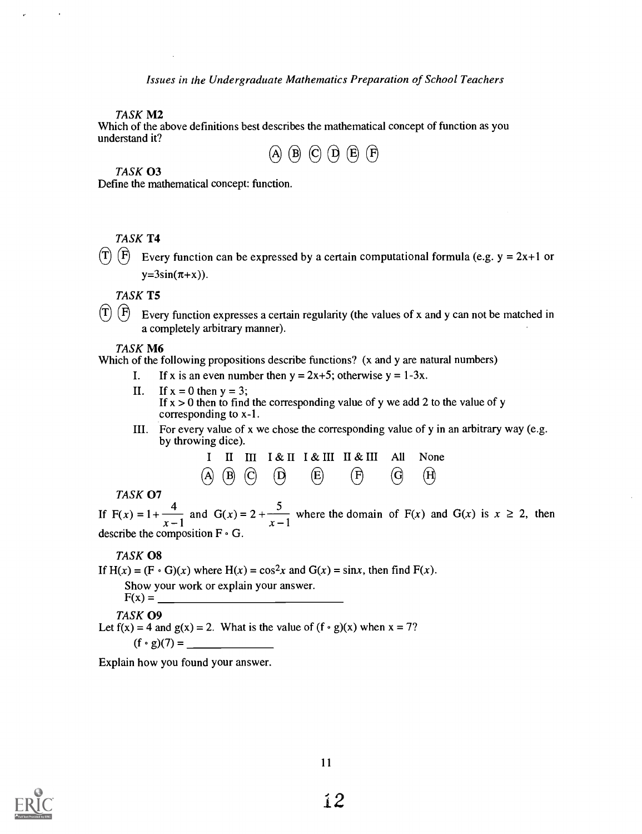TASK M2

Which of the above definitions best describes the mathematical concept of function as you understand it?



## TASK 03

Define the mathematical concept: function.

## TASK T4

 $(T)$   $(F)$  Every function can be expressed by a certain computational formula (e.g. y = 2x+1 or  $y=3\sin(\pi+x)$ ).

TASK T5

 $(T)$   $(F)$  Every function expresses a certain regularity (the values of x and y can not be matched in a completely arbitrary manner).

## TASK M6

Which of the following propositions describe functions? (x and y are natural numbers)

- I. If x is an even number then  $y = 2x+5$ ; otherwise  $y = 1-3x$ .
- II. If  $x = 0$  then  $y = 3$ ; If  $x > 0$  then to find the corresponding value of y we add 2 to the value of y corresponding to x-1.
- III. For every value of x we chose the corresponding value of y in an arbitrary way (e.g. by throwing dice).

|  |  | I II III I & II I & III II & III All None                                                                               |  |  |
|--|--|-------------------------------------------------------------------------------------------------------------------------|--|--|
|  |  | $\overline{A}$ $\overline{B}$ $\overline{C}$ $\overline{D}$ $\overline{E}$ $\overline{F}$ $\overline{G}$ $\overline{H}$ |  |  |

TASK 07<br>If  $F(x) = 1 + \frac{4}{x-1}$  and  $G(x) = 2 + \frac{5}{x-1}$  where the domain of  $F(x)$  and  $G(x)$  is  $x \ge 2$ , then describe the composition  $F \cdot G$ .

## TASK 08

If  $H(x) = (F \cdot G)(x)$  where  $H(x) = \cos^2 x$  and  $G(x) = \sin x$ , then find  $F(x)$ .

Show your work or explain your answer.

 $F(x) = \_$ TASK 09

Let  $f(x) = 4$  and  $g(x) = 2$ . What is the value of  $(f \circ g)(x)$  when  $x = 7$ ? (f g)(7) =

Explain how you found your answer.

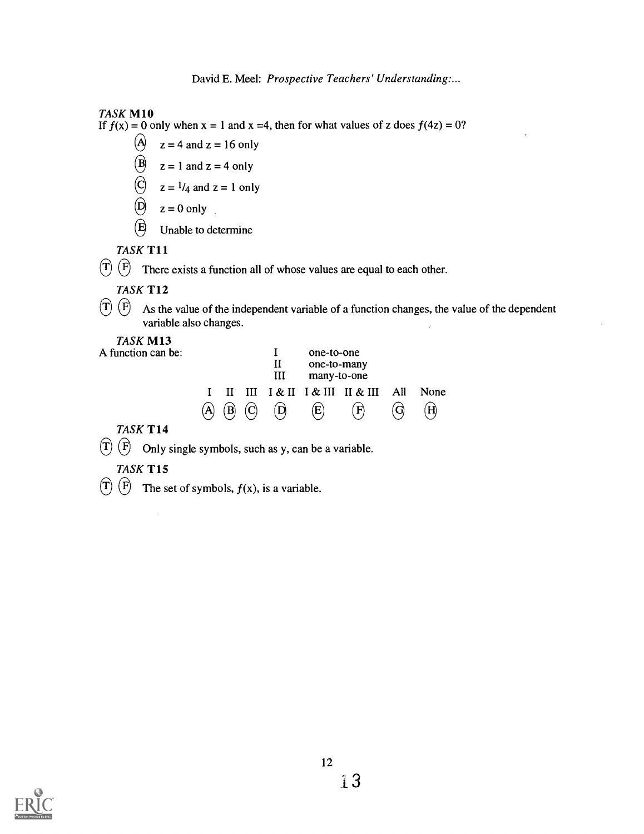## TASK M10

If  $f(x) = 0$  only when  $x = 1$  and  $x = 4$ , then for what values of z does  $f(4z) = 0$ ?

- $\Theta$  $z = 4$  and  $z = 16$  only
- $\bigcirc$  $z = 1$  and  $z = 4$  only
- $\bigcup$  z =  $1/4$  and z = 1 only
- $\left( \widehat{\mathsf{D}}\right)$  $z = 0$  only
- $\mathbf{E}$ Unable to determine

## TASK T11

 $\overline{T}$   $\overline{F}$  There exists a function all of whose values are equal to each other.

## TASK T12

 $\left(\overline{T}\right)\left(\overline{F}\right)$ As the value of the independent variable of a function changes, the value of the dependent variable also changes.

## TASK M13

A function can be:

|                 |             | Н<br>Ш       | one-to-one<br>one-to-many<br>many-to-one |                                      |      |
|-----------------|-------------|--------------|------------------------------------------|--------------------------------------|------|
|                 |             |              |                                          | I II III I & II I & III II & III All | None |
| $({\mathsf A})$ | $(B)$ $(C)$ | $\mathbf{D}$ | $\bf(E)$                                 | $\mathbf{F}$                         | (H)  |

## TASK T14

 $(\widehat{T})$   $(\widehat{F})$  Only single symbols, such as y, can be a variable.

## TASK T15

 $\overline{T}$   $\overline{F}$  The set of symbols,  $f(x)$ , is a variable.